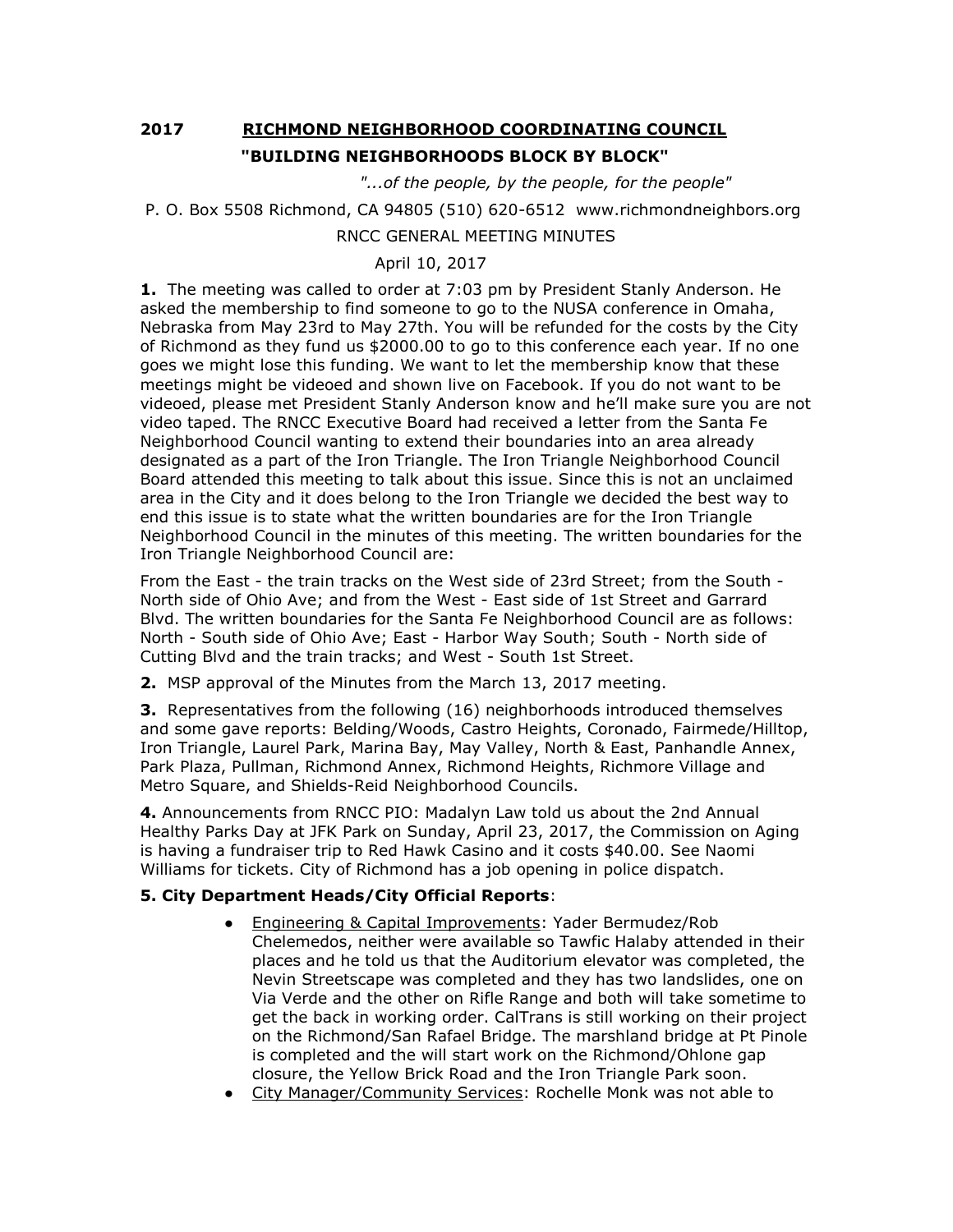## **2017 RICHMOND NEIGHBORHOOD COORDINATING COUNCIL "BUILDING NEIGHBORHOODS BLOCK BY BLOCK"**

 *"...of the people, by the people, for the people"*

```
P. O. Box 5508 Richmond, CA 94805 (510) 620-6512 www.richmondneighbors.org
```
## RNCC GENERAL MEETING MINUTES

## April 10, 2017

**1.** The meeting was called to order at 7:03 pm by President Stanly Anderson. He asked the membership to find someone to go to the NUSA conference in Omaha, Nebraska from May 23rd to May 27th. You will be refunded for the costs by the City of Richmond as they fund us \$2000.00 to go to this conference each year. If no one goes we might lose this funding. We want to let the membership know that these meetings might be videoed and shown live on Facebook. If you do not want to be videoed, please met President Stanly Anderson know and he'll make sure you are not video taped. The RNCC Executive Board had received a letter from the Santa Fe Neighborhood Council wanting to extend their boundaries into an area already designated as a part of the Iron Triangle. The Iron Triangle Neighborhood Council Board attended this meeting to talk about this issue. Since this is not an unclaimed area in the City and it does belong to the Iron Triangle we decided the best way to end this issue is to state what the written boundaries are for the Iron Triangle Neighborhood Council in the minutes of this meeting. The written boundaries for the Iron Triangle Neighborhood Council are:

From the East - the train tracks on the West side of 23rd Street; from the South - North side of Ohio Ave; and from the West - East side of 1st Street and Garrard Blvd. The written boundaries for the Santa Fe Neighborhood Council are as follows: North - South side of Ohio Ave; East - Harbor Way South; South - North side of Cutting Blvd and the train tracks; and West - South 1st Street.

**2.** MSP approval of the Minutes from the March 13, 2017 meeting.

**3.** Representatives from the following (16) neighborhoods introduced themselves and some gave reports: Belding/Woods, Castro Heights, Coronado, Fairmede/Hilltop, Iron Triangle, Laurel Park, Marina Bay, May Valley, North & East, Panhandle Annex, Park Plaza, Pullman, Richmond Annex, Richmond Heights, Richmore Village and Metro Square, and Shields-Reid Neighborhood Councils.

**4.** Announcements from RNCC PIO: Madalyn Law told us about the 2nd Annual Healthy Parks Day at JFK Park on Sunday, April 23, 2017, the Commission on Aging is having a fundraiser trip to Red Hawk Casino and it costs \$40.00. See Naomi Williams for tickets. City of Richmond has a job opening in police dispatch.

## **5. City Department Heads/City Official Reports**:

- Engineering & Capital Improvements: Yader Bermudez/Rob Chelemedos, neither were available so Tawfic Halaby attended in their places and he told us that the Auditorium elevator was completed, the Nevin Streetscape was completed and they has two landslides, one on Via Verde and the other on Rifle Range and both will take sometime to get the back in working order. CalTrans is still working on their project on the Richmond/San Rafael Bridge. The marshland bridge at Pt Pinole is completed and the will start work on the Richmond/Ohlone gap closure, the Yellow Brick Road and the Iron Triangle Park soon.
- City Manager/Community Services: Rochelle Monk was not able to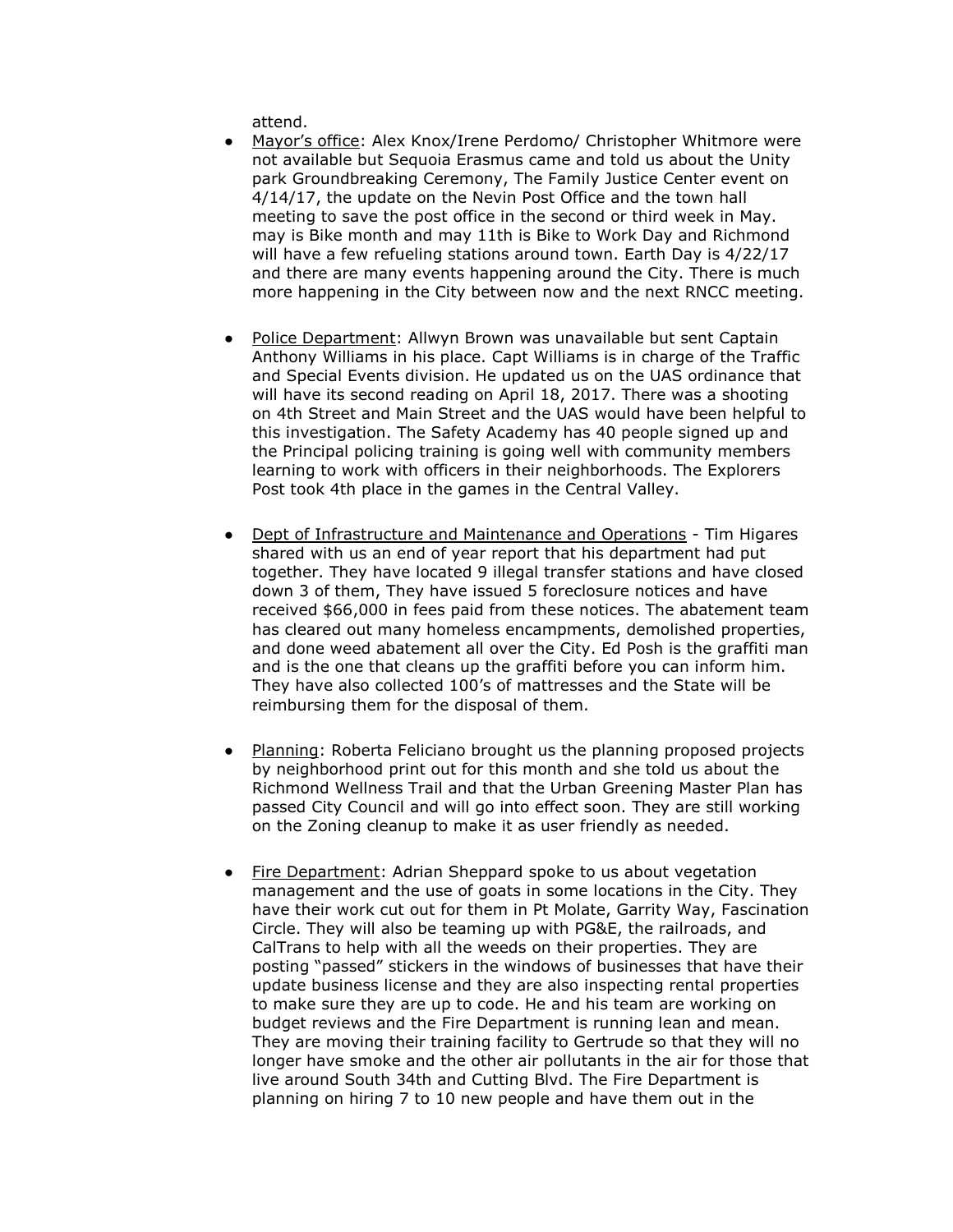attend.

- Mayor's office: Alex Knox/Irene Perdomo/ Christopher Whitmore were not available but Sequoia Erasmus came and told us about the Unity park Groundbreaking Ceremony, The Family Justice Center event on 4/14/17, the update on the Nevin Post Office and the town hall meeting to save the post office in the second or third week in May. may is Bike month and may 11th is Bike to Work Day and Richmond will have a few refueling stations around town. Earth Day is 4/22/17 and there are many events happening around the City. There is much more happening in the City between now and the next RNCC meeting.
- Police Department: Allwyn Brown was unavailable but sent Captain Anthony Williams in his place. Capt Williams is in charge of the Traffic and Special Events division. He updated us on the UAS ordinance that will have its second reading on April 18, 2017. There was a shooting on 4th Street and Main Street and the UAS would have been helpful to this investigation. The Safety Academy has 40 people signed up and the Principal policing training is going well with community members learning to work with officers in their neighborhoods. The Explorers Post took 4th place in the games in the Central Valley.
- Dept of Infrastructure and Maintenance and Operations Tim Higares shared with us an end of year report that his department had put together. They have located 9 illegal transfer stations and have closed down 3 of them, They have issued 5 foreclosure notices and have received \$66,000 in fees paid from these notices. The abatement team has cleared out many homeless encampments, demolished properties, and done weed abatement all over the City. Ed Posh is the graffiti man and is the one that cleans up the graffiti before you can inform him. They have also collected 100's of mattresses and the State will be reimbursing them for the disposal of them.
- Planning: Roberta Feliciano brought us the planning proposed projects by neighborhood print out for this month and she told us about the Richmond Wellness Trail and that the Urban Greening Master Plan has passed City Council and will go into effect soon. They are still working on the Zoning cleanup to make it as user friendly as needed.
- Fire Department: Adrian Sheppard spoke to us about vegetation management and the use of goats in some locations in the City. They have their work cut out for them in Pt Molate, Garrity Way, Fascination Circle. They will also be teaming up with PG&E, the railroads, and CalTrans to help with all the weeds on their properties. They are posting "passed" stickers in the windows of businesses that have their update business license and they are also inspecting rental properties to make sure they are up to code. He and his team are working on budget reviews and the Fire Department is running lean and mean. They are moving their training facility to Gertrude so that they will no longer have smoke and the other air pollutants in the air for those that live around South 34th and Cutting Blvd. The Fire Department is planning on hiring 7 to 10 new people and have them out in the